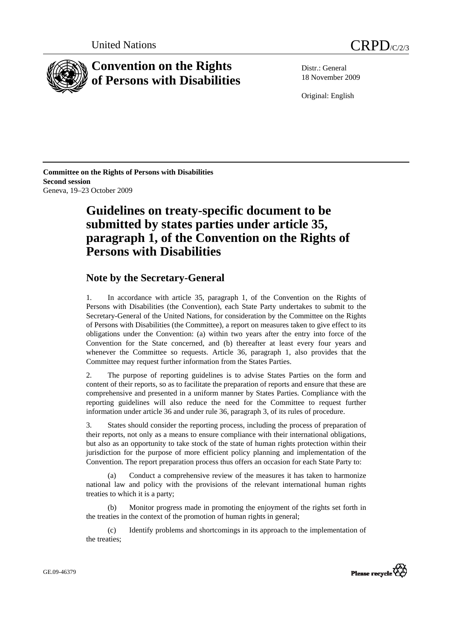

# **Convention on the Rights of Persons with Disabilities**

Distr.: General 18 November 2009

Original: English

**Committee on the Rights of Persons with Disabilities Second session**  Geneva, 19–23 October 2009

# **Guidelines on treaty-specific document to be submitted by states parties under article 35, paragraph 1, of the Convention on the Rights of Persons with Disabilities**

# **Note by the Secretary-General**

1. In accordance with article 35, paragraph 1, of the Convention on the Rights of Persons with Disabilities (the Convention), each State Party undertakes to submit to the Secretary-General of the United Nations, for consideration by the Committee on the Rights of Persons with Disabilities (the Committee), a report on measures taken to give effect to its obligations under the Convention: (a) within two years after the entry into force of the Convention for the State concerned, and (b) thereafter at least every four years and whenever the Committee so requests. Article 36, paragraph 1, also provides that the Committee may request further information from the States Parties.

2. The purpose of reporting guidelines is to advise States Parties on the form and content of their reports, so as to facilitate the preparation of reports and ensure that these are comprehensive and presented in a uniform manner by States Parties. Compliance with the reporting guidelines will also reduce the need for the Committee to request further information under article 36 and under rule 36, paragraph 3, of its rules of procedure.

3. States should consider the reporting process, including the process of preparation of their reports, not only as a means to ensure compliance with their international obligations, but also as an opportunity to take stock of the state of human rights protection within their jurisdiction for the purpose of more efficient policy planning and implementation of the Convention. The report preparation process thus offers an occasion for each State Party to:

Conduct a comprehensive review of the measures it has taken to harmonize national law and policy with the provisions of the relevant international human rights treaties to which it is a party;

 (b) Monitor progress made in promoting the enjoyment of the rights set forth in the treaties in the context of the promotion of human rights in general;

 (c) Identify problems and shortcomings in its approach to the implementation of the treaties;

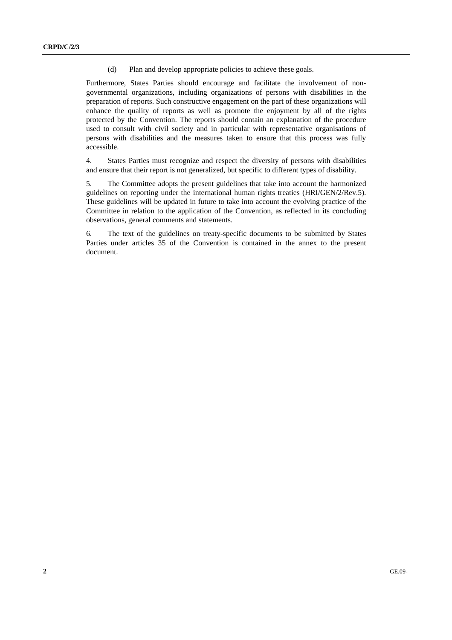(d) Plan and develop appropriate policies to achieve these goals.

Furthermore, States Parties should encourage and facilitate the involvement of nongovernmental organizations, including organizations of persons with disabilities in the preparation of reports. Such constructive engagement on the part of these organizations will enhance the quality of reports as well as promote the enjoyment by all of the rights protected by the Convention. The reports should contain an explanation of the procedure used to consult with civil society and in particular with representative organisations of persons with disabilities and the measures taken to ensure that this process was fully accessible.

4. States Parties must recognize and respect the diversity of persons with disabilities and ensure that their report is not generalized, but specific to different types of disability.

5. The Committee adopts the present guidelines that take into account the harmonized guidelines on reporting under the international human rights treaties (HRI/GEN/2/Rev.5). These guidelines will be updated in future to take into account the evolving practice of the Committee in relation to the application of the Convention, as reflected in its concluding observations, general comments and statements.

6. The text of the guidelines on treaty-specific documents to be submitted by States Parties under articles 35 of the Convention is contained in the annex to the present document.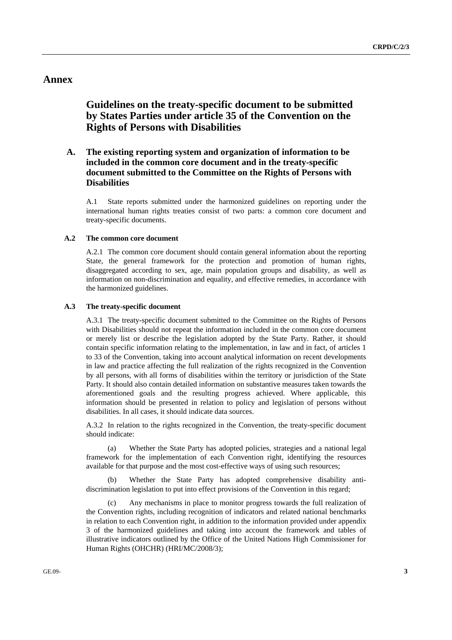# **Annex**

# **Guidelines on the treaty-specific document to be submitted by States Parties under article 35 of the Convention on the Rights of Persons with Disabilities**

# **A. The existing reporting system and organization of information to be included in the common core document and in the treaty-specific document submitted to the Committee on the Rights of Persons with Disabilities**

A.1 State reports submitted under the harmonized guidelines on reporting under the international human rights treaties consist of two parts: a common core document and treaty-specific documents.

# **A.2 The common core document**

A.2.1 The common core document should contain general information about the reporting State, the general framework for the protection and promotion of human rights, disaggregated according to sex, age, main population groups and disability, as well as information on non-discrimination and equality, and effective remedies, in accordance with the harmonized guidelines.

## **A.3 The treaty-specific document**

A.3.1 The treaty-specific document submitted to the Committee on the Rights of Persons with Disabilities should not repeat the information included in the common core document or merely list or describe the legislation adopted by the State Party. Rather, it should contain specific information relating to the implementation, in law and in fact, of articles 1 to 33 of the Convention, taking into account analytical information on recent developments in law and practice affecting the full realization of the rights recognized in the Convention by all persons, with all forms of disabilities within the territory or jurisdiction of the State Party. It should also contain detailed information on substantive measures taken towards the aforementioned goals and the resulting progress achieved. Where applicable, this information should be presented in relation to policy and legislation of persons without disabilities. In all cases, it should indicate data sources.

A.3.2 In relation to the rights recognized in the Convention, the treaty-specific document should indicate:

(a) Whether the State Party has adopted policies, strategies and a national legal framework for the implementation of each Convention right, identifying the resources available for that purpose and the most cost-effective ways of using such resources;

 (b) Whether the State Party has adopted comprehensive disability antidiscrimination legislation to put into effect provisions of the Convention in this regard;

Any mechanisms in place to monitor progress towards the full realization of the Convention rights, including recognition of indicators and related national benchmarks in relation to each Convention right, in addition to the information provided under appendix 3 of the harmonized guidelines and taking into account the framework and tables of illustrative indicators outlined by the Office of the United Nations High Commissioner for Human Rights (OHCHR) (HRI/MC/2008/3);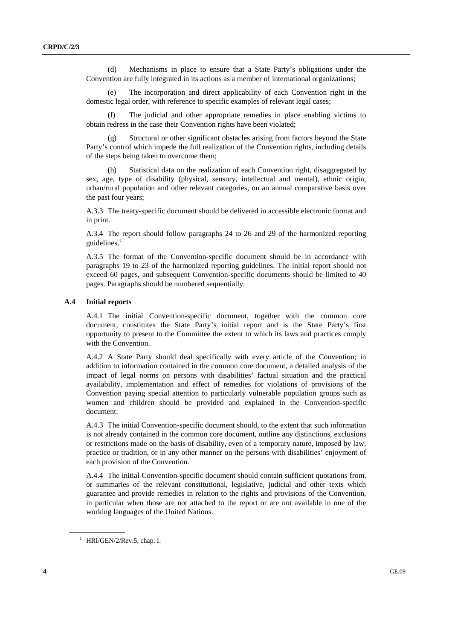<span id="page-3-0"></span> (d) Mechanisms in place to ensure that a State Party's obligations under the Convention are fully integrated in its actions as a member of international organizations;

 (e) The incorporation and direct applicability of each Convention right in the domestic legal order, with reference to specific examples of relevant legal cases;

 (f) The judicial and other appropriate remedies in place enabling victims to obtain redress in the case their Convention rights have been violated;

 (g) Structural or other significant obstacles arising from factors beyond the State Party's control which impede the full realization of the Convention rights, including details of the steps being taken to overcome them;

 (h) Statistical data on the realization of each Convention right, disaggregated by sex, age, type of disability (physical, sensory, intellectual and mental), ethnic origin, urban/rural population and other relevant categories, on an annual comparative basis over the past four years;

A.3.3 The treaty-specific document should be delivered in accessible electronic format and in print.

A.3.4 The report should follow paragraphs 24 to 26 and 29 of the harmonized reporting guidelines. $<sup>1</sup>$  $<sup>1</sup>$  $<sup>1</sup>$ </sup>

A.3.5 The format of the Convention-specific document should be in accordance with paragraphs 19 to 23 of the harmonized reporting guidelines. The initial report should not exceed 60 pages, and subsequent Convention-specific documents should be limited to 40 pages. Paragraphs should be numbered sequentially.

#### **A.4 Initial reports**

A.4.1 The initial Convention-specific document, together with the common core document, constitutes the State Party's initial report and is the State Party's first opportunity to present to the Committee the extent to which its laws and practices comply with the Convention.

A.4.2 A State Party should deal specifically with every article of the Convention; in addition to information contained in the common core document, a detailed analysis of the impact of legal norms on persons with disabilities' factual situation and the practical availability, implementation and effect of remedies for violations of provisions of the Convention paying special attention to particularly vulnerable population groups such as women and children should be provided and explained in the Convention-specific document.

A.4.3 The initial Convention-specific document should, to the extent that such information is not already contained in the common core document, outline any distinctions, exclusions or restrictions made on the basis of disability, even of a temporary nature, imposed by law, practice or tradition, or in any other manner on the persons with disabilities' enjoyment of each provision of the Convention.

A.4.4 The initial Convention-specific document should contain sufficient quotations from, or summaries of the relevant constitutional, legislative, judicial and other texts which guarantee and provide remedies in relation to the rights and provisions of the Convention, in particular when those are not attached to the report or are not available in one of the working languages of the United Nations.

 $^1$  HRI/GEN/2/Rev.5, chap. I.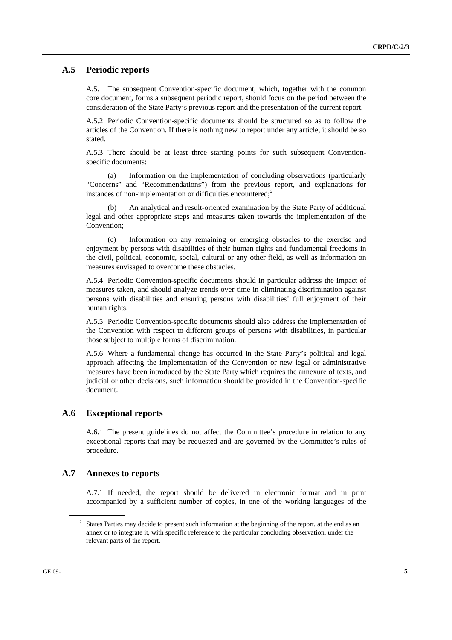# <span id="page-4-0"></span> **A.5 Periodic reports**

A.5.1 The subsequent Convention-specific document, which, together with the common core document, forms a subsequent periodic report, should focus on the period between the consideration of the State Party's previous report and the presentation of the current report.

A.5.2 Periodic Convention-specific documents should be structured so as to follow the articles of the Convention. If there is nothing new to report under any article, it should be so stated.

A.5.3 There should be at least three starting points for such subsequent Conventionspecific documents:

 (a) Information on the implementation of concluding observations (particularly "Concerns" and "Recommendations") from the previous report, and explanations for instances of non-implementation or difficulties encountered; $2$ 

 (b) An analytical and result-oriented examination by the State Party of additional legal and other appropriate steps and measures taken towards the implementation of the Convention;

 (c) Information on any remaining or emerging obstacles to the exercise and enjoyment by persons with disabilities of their human rights and fundamental freedoms in the civil, political, economic, social, cultural or any other field, as well as information on measures envisaged to overcome these obstacles.

A.5.4 Periodic Convention-specific documents should in particular address the impact of measures taken, and should analyze trends over time in eliminating discrimination against persons with disabilities and ensuring persons with disabilities' full enjoyment of their human rights.

A.5.5 Periodic Convention-specific documents should also address the implementation of the Convention with respect to different groups of persons with disabilities, in particular those subject to multiple forms of discrimination.

A.5.6 Where a fundamental change has occurred in the State Party's political and legal approach affecting the implementation of the Convention or new legal or administrative measures have been introduced by the State Party which requires the annexure of texts, and judicial or other decisions, such information should be provided in the Convention-specific document.

# **A.6 Exceptional reports**

A.6.1 The present guidelines do not affect the Committee's procedure in relation to any exceptional reports that may be requested and are governed by the Committee's rules of procedure.

# **A.7 Annexes to reports**

A.7.1 If needed, the report should be delivered in electronic format and in print accompanied by a sufficient number of copies, in one of the working languages of the

 $2^2$  States Parties may decide to present such information at the beginning of the report, at the end as an annex or to integrate it, with specific reference to the particular concluding observation, under the relevant parts of the report.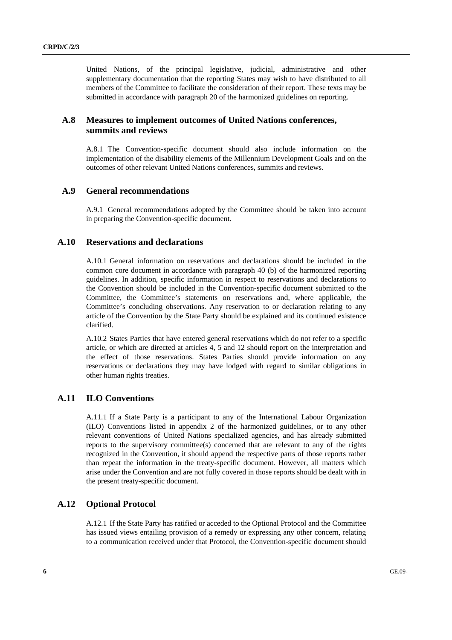United Nations, of the principal legislative, judicial, administrative and other supplementary documentation that the reporting States may wish to have distributed to all members of the Committee to facilitate the consideration of their report. These texts may be submitted in accordance with paragraph 20 of the harmonized guidelines on reporting.

# **A.8 Measures to implement outcomes of United Nations conferences, summits and reviews**

A.8.1 The Convention-specific document should also include information on the implementation of the disability elements of the Millennium Development Goals and on the outcomes of other relevant United Nations conferences, summits and reviews.

# **A.9 General recommendations**

A.9.1 General recommendations adopted by the Committee should be taken into account in preparing the Convention-specific document.

# **A.10 Reservations and declarations**

A.10.1 General information on reservations and declarations should be included in the common core document in accordance with paragraph 40 (b) of the harmonized reporting guidelines. In addition, specific information in respect to reservations and declarations to the Convention should be included in the Convention-specific document submitted to the Committee, the Committee's statements on reservations and, where applicable, the Committee's concluding observations. Any reservation to or declaration relating to any article of the Convention by the State Party should be explained and its continued existence clarified.

A.10.2 States Parties that have entered general reservations which do not refer to a specific article, or which are directed at articles 4, 5 and 12 should report on the interpretation and the effect of those reservations. States Parties should provide information on any reservations or declarations they may have lodged with regard to similar obligations in other human rights treaties.

# **A.11 ILO Conventions**

A.11.1 If a State Party is a participant to any of the International Labour Organization (ILO) Conventions listed in appendix 2 of the harmonized guidelines, or to any other relevant conventions of United Nations specialized agencies, and has already submitted reports to the supervisory committee(s) concerned that are relevant to any of the rights recognized in the Convention, it should append the respective parts of those reports rather than repeat the information in the treaty-specific document. However, all matters which arise under the Convention and are not fully covered in those reports should be dealt with in the present treaty-specific document.

# **A.12 Optional Protocol**

A.12.1 If the State Party has ratified or acceded to the Optional Protocol and the Committee has issued views entailing provision of a remedy or expressing any other concern, relating to a communication received under that Protocol, the Convention-specific document should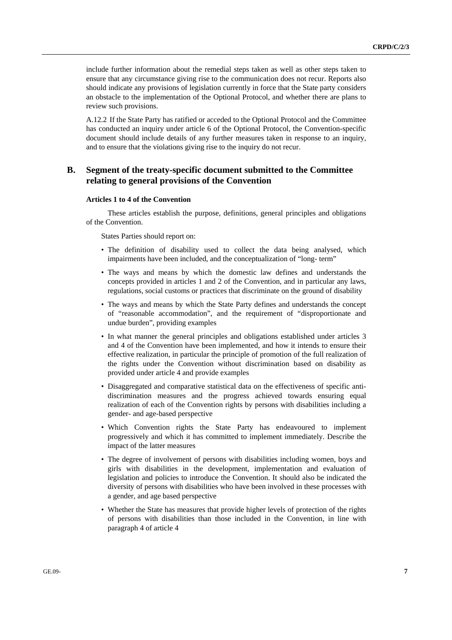include further information about the remedial steps taken as well as other steps taken to ensure that any circumstance giving rise to the communication does not recur. Reports also should indicate any provisions of legislation currently in force that the State party considers an obstacle to the implementation of the Optional Protocol, and whether there are plans to review such provisions.

A.12.2 If the State Party has ratified or acceded to the Optional Protocol and the Committee has conducted an inquiry under article 6 of the Optional Protocol, the Convention-specific document should include details of any further measures taken in response to an inquiry, and to ensure that the violations giving rise to the inquiry do not recur.

# **B. Segment of the treaty-specific document submitted to the Committee relating to general provisions of the Convention**

## **Articles 1 to 4 of the Convention**

These articles establish the purpose, definitions, general principles and obligations of the Convention.

- The definition of disability used to collect the data being analysed, which impairments have been included, and the conceptualization of "long- term"
- The ways and means by which the domestic law defines and understands the concepts provided in articles 1 and 2 of the Convention, and in particular any laws, regulations, social customs or practices that discriminate on the ground of disability
- The ways and means by which the State Party defines and understands the concept of "reasonable accommodation", and the requirement of "disproportionate and undue burden", providing examples
- In what manner the general principles and obligations established under articles 3 and 4 of the Convention have been implemented, and how it intends to ensure their effective realization, in particular the principle of promotion of the full realization of the rights under the Convention without discrimination based on disability as provided under article 4 and provide examples
- Disaggregated and comparative statistical data on the effectiveness of specific antidiscrimination measures and the progress achieved towards ensuring equal realization of each of the Convention rights by persons with disabilities including a gender- and age-based perspective
- Which Convention rights the State Party has endeavoured to implement progressively and which it has committed to implement immediately. Describe the impact of the latter measures
- The degree of involvement of persons with disabilities including women, boys and girls with disabilities in the development, implementation and evaluation of legislation and policies to introduce the Convention. It should also be indicated the diversity of persons with disabilities who have been involved in these processes with a gender, and age based perspective
- Whether the State has measures that provide higher levels of protection of the rights of persons with disabilities than those included in the Convention, in line with paragraph 4 of article 4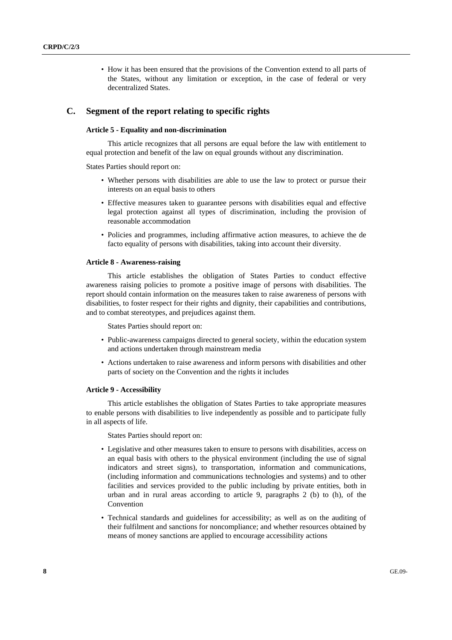• How it has been ensured that the provisions of the Convention extend to all parts of the States, without any limitation or exception, in the case of federal or very decentralized States.

## **C. Segment of the report relating to specific rights**

# **Article 5 - Equality and non-discrimination**

This article recognizes that all persons are equal before the law with entitlement to equal protection and benefit of the law on equal grounds without any discrimination.

States Parties should report on:

- Whether persons with disabilities are able to use the law to protect or pursue their interests on an equal basis to others
- Effective measures taken to guarantee persons with disabilities equal and effective legal protection against all types of discrimination, including the provision of reasonable accommodation
- Policies and programmes, including affirmative action measures, to achieve the de facto equality of persons with disabilities, taking into account their diversity.

#### **Article 8 - Awareness-raising**

This article establishes the obligation of States Parties to conduct effective awareness raising policies to promote a positive image of persons with disabilities. The report should contain information on the measures taken to raise awareness of persons with disabilities, to foster respect for their rights and dignity, their capabilities and contributions, and to combat stereotypes, and prejudices against them.

States Parties should report on:

- Public-awareness campaigns directed to general society, within the education system and actions undertaken through mainstream media
- Actions undertaken to raise awareness and inform persons with disabilities and other parts of society on the Convention and the rights it includes

#### **Article 9 - Accessibility**

This article establishes the obligation of States Parties to take appropriate measures to enable persons with disabilities to live independently as possible and to participate fully in all aspects of life.

- Legislative and other measures taken to ensure to persons with disabilities, access on an equal basis with others to the physical environment (including the use of signal indicators and street signs), to transportation, information and communications, (including information and communications technologies and systems) and to other facilities and services provided to the public including by private entities, both in urban and in rural areas according to article 9, paragraphs 2 (b) to (h), of the Convention
- Technical standards and guidelines for accessibility; as well as on the auditing of their fulfilment and sanctions for noncompliance; and whether resources obtained by means of money sanctions are applied to encourage accessibility actions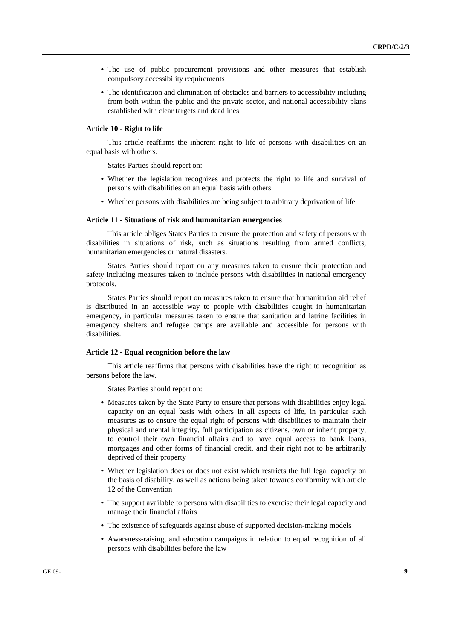- The use of public procurement provisions and other measures that establish compulsory accessibility requirements
- The identification and elimination of obstacles and barriers to accessibility including from both within the public and the private sector, and national accessibility plans established with clear targets and deadlines

### **Article 10 - Right to life**

This article reaffirms the inherent right to life of persons with disabilities on an equal basis with others.

States Parties should report on:

- Whether the legislation recognizes and protects the right to life and survival of persons with disabilities on an equal basis with others
- Whether persons with disabilities are being subject to arbitrary deprivation of life

#### **Article 11 - Situations of risk and humanitarian emergencies**

This article obliges States Parties to ensure the protection and safety of persons with disabilities in situations of risk, such as situations resulting from armed conflicts, humanitarian emergencies or natural disasters.

 States Parties should report on any measures taken to ensure their protection and safety including measures taken to include persons with disabilities in national emergency protocols.

 States Parties should report on measures taken to ensure that humanitarian aid relief is distributed in an accessible way to people with disabilities caught in humanitarian emergency, in particular measures taken to ensure that sanitation and latrine facilities in emergency shelters and refugee camps are available and accessible for persons with disabilities.

#### **Article 12 - Equal recognition before the law**

This article reaffirms that persons with disabilities have the right to recognition as persons before the law.

- Measures taken by the State Party to ensure that persons with disabilities enjoy legal capacity on an equal basis with others in all aspects of life, in particular such measures as to ensure the equal right of persons with disabilities to maintain their physical and mental integrity, full participation as citizens, own or inherit property, to control their own financial affairs and to have equal access to bank loans, mortgages and other forms of financial credit, and their right not to be arbitrarily deprived of their property
- Whether legislation does or does not exist which restricts the full legal capacity on the basis of disability, as well as actions being taken towards conformity with article 12 of the Convention
- The support available to persons with disabilities to exercise their legal capacity and manage their financial affairs
- The existence of safeguards against abuse of supported decision-making models
- Awareness-raising, and education campaigns in relation to equal recognition of all persons with disabilities before the law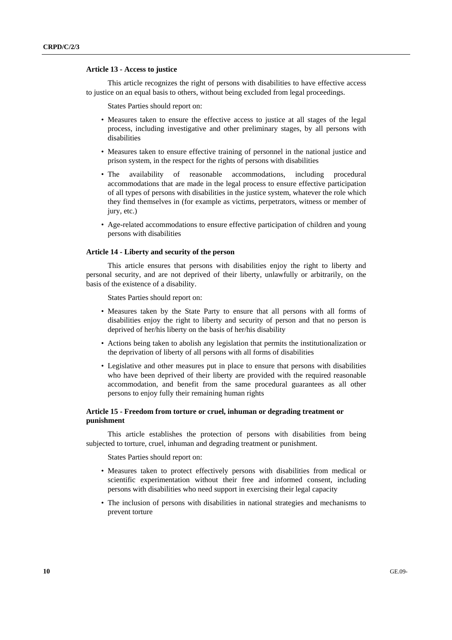#### **Article 13 - Access to justice**

This article recognizes the right of persons with disabilities to have effective access to justice on an equal basis to others, without being excluded from legal proceedings.

States Parties should report on:

- Measures taken to ensure the effective access to justice at all stages of the legal process, including investigative and other preliminary stages, by all persons with disabilities
- Measures taken to ensure effective training of personnel in the national justice and prison system, in the respect for the rights of persons with disabilities
- The availability of reasonable accommodations, including procedural accommodations that are made in the legal process to ensure effective participation of all types of persons with disabilities in the justice system, whatever the role which they find themselves in (for example as victims, perpetrators, witness or member of jury, etc.)
- Age-related accommodations to ensure effective participation of children and young persons with disabilities

#### **Article 14 - Liberty and security of the person**

This article ensures that persons with disabilities enjoy the right to liberty and personal security, and are not deprived of their liberty, unlawfully or arbitrarily, on the basis of the existence of a disability.

States Parties should report on:

- Measures taken by the State Party to ensure that all persons with all forms of disabilities enjoy the right to liberty and security of person and that no person is deprived of her/his liberty on the basis of her/his disability
- Actions being taken to abolish any legislation that permits the institutionalization or the deprivation of liberty of all persons with all forms of disabilities
- Legislative and other measures put in place to ensure that persons with disabilities who have been deprived of their liberty are provided with the required reasonable accommodation, and benefit from the same procedural guarantees as all other persons to enjoy fully their remaining human rights

# **Article 15 - Freedom from torture or cruel, inhuman or degrading treatment or punishment**

This article establishes the protection of persons with disabilities from being subjected to torture, cruel, inhuman and degrading treatment or punishment.

- Measures taken to protect effectively persons with disabilities from medical or scientific experimentation without their free and informed consent, including persons with disabilities who need support in exercising their legal capacity
- The inclusion of persons with disabilities in national strategies and mechanisms to prevent torture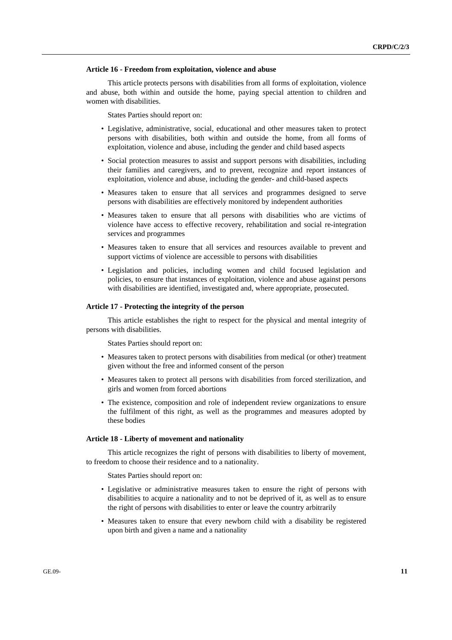#### **Article 16 - Freedom from exploitation, violence and abuse**

This article protects persons with disabilities from all forms of exploitation, violence and abuse, both within and outside the home, paying special attention to children and women with disabilities.

States Parties should report on:

- Legislative, administrative, social, educational and other measures taken to protect persons with disabilities, both within and outside the home, from all forms of exploitation, violence and abuse, including the gender and child based aspects
- Social protection measures to assist and support persons with disabilities, including their families and caregivers, and to prevent, recognize and report instances of exploitation, violence and abuse, including the gender- and child-based aspects
- Measures taken to ensure that all services and programmes designed to serve persons with disabilities are effectively monitored by independent authorities
- Measures taken to ensure that all persons with disabilities who are victims of violence have access to effective recovery, rehabilitation and social re-integration services and programmes
- Measures taken to ensure that all services and resources available to prevent and support victims of violence are accessible to persons with disabilities
- Legislation and policies, including women and child focused legislation and policies, to ensure that instances of exploitation, violence and abuse against persons with disabilities are identified, investigated and, where appropriate, prosecuted.

# **Article 17 - Protecting the integrity of the person**

This article establishes the right to respect for the physical and mental integrity of persons with disabilities.

States Parties should report on:

- Measures taken to protect persons with disabilities from medical (or other) treatment given without the free and informed consent of the person
- Measures taken to protect all persons with disabilities from forced sterilization, and girls and women from forced abortions
- The existence, composition and role of independent review organizations to ensure the fulfilment of this right, as well as the programmes and measures adopted by these bodies

#### **Article 18 - Liberty of movement and nationality**

This article recognizes the right of persons with disabilities to liberty of movement, to freedom to choose their residence and to a nationality.

- Legislative or administrative measures taken to ensure the right of persons with disabilities to acquire a nationality and to not be deprived of it, as well as to ensure the right of persons with disabilities to enter or leave the country arbitrarily
- Measures taken to ensure that every newborn child with a disability be registered upon birth and given a name and a nationality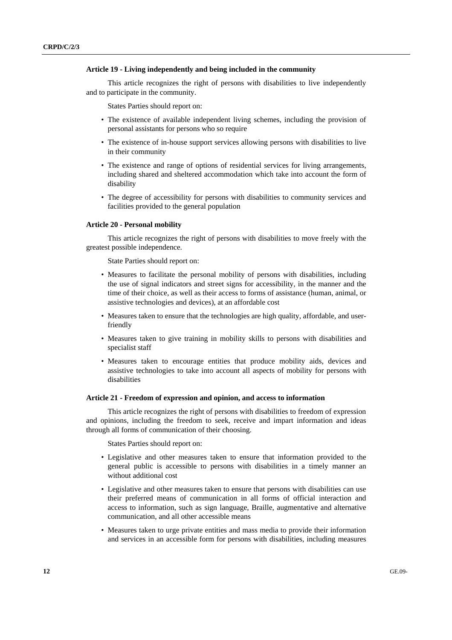#### **Article 19 - Living independently and being included in the community**

This article recognizes the right of persons with disabilities to live independently and to participate in the community.

States Parties should report on:

- The existence of available independent living schemes, including the provision of personal assistants for persons who so require
- The existence of in-house support services allowing persons with disabilities to live in their community
- The existence and range of options of residential services for living arrangements, including shared and sheltered accommodation which take into account the form of disability
- The degree of accessibility for persons with disabilities to community services and facilities provided to the general population

#### **Article 20 - Personal mobility**

This article recognizes the right of persons with disabilities to move freely with the greatest possible independence.

State Parties should report on:

- Measures to facilitate the personal mobility of persons with disabilities, including the use of signal indicators and street signs for accessibility, in the manner and the time of their choice, as well as their access to forms of assistance (human, animal, or assistive technologies and devices), at an affordable cost
- Measures taken to ensure that the technologies are high quality, affordable, and userfriendly
- Measures taken to give training in mobility skills to persons with disabilities and specialist staff
- Measures taken to encourage entities that produce mobility aids, devices and assistive technologies to take into account all aspects of mobility for persons with disabilities

#### **Article 21 - Freedom of expression and opinion, and access to information**

 This article recognizes the right of persons with disabilities to freedom of expression and opinions, including the freedom to seek, receive and impart information and ideas through all forms of communication of their choosing.

- Legislative and other measures taken to ensure that information provided to the general public is accessible to persons with disabilities in a timely manner an without additional cost
- Legislative and other measures taken to ensure that persons with disabilities can use their preferred means of communication in all forms of official interaction and access to information, such as sign language, Braille, augmentative and alternative communication, and all other accessible means
- Measures taken to urge private entities and mass media to provide their information and services in an accessible form for persons with disabilities, including measures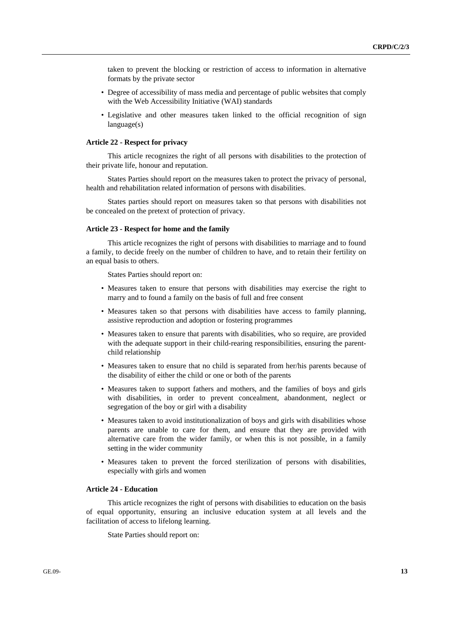taken to prevent the blocking or restriction of access to information in alternative formats by the private sector

- Degree of accessibility of mass media and percentage of public websites that comply with the Web Accessibility Initiative (WAI) standards
- Legislative and other measures taken linked to the official recognition of sign language(s)

#### **Article 22 - Respect for privacy**

This article recognizes the right of all persons with disabilities to the protection of their private life, honour and reputation.

States Parties should report on the measures taken to protect the privacy of personal, health and rehabilitation related information of persons with disabilities.

States parties should report on measures taken so that persons with disabilities not be concealed on the pretext of protection of privacy.

## **Article 23 - Respect for home and the family**

This article recognizes the right of persons with disabilities to marriage and to found a family, to decide freely on the number of children to have, and to retain their fertility on an equal basis to others.

States Parties should report on:

- Measures taken to ensure that persons with disabilities may exercise the right to marry and to found a family on the basis of full and free consent
- Measures taken so that persons with disabilities have access to family planning, assistive reproduction and adoption or fostering programmes
- Measures taken to ensure that parents with disabilities, who so require, are provided with the adequate support in their child-rearing responsibilities, ensuring the parentchild relationship
- Measures taken to ensure that no child is separated from her/his parents because of the disability of either the child or one or both of the parents
- Measures taken to support fathers and mothers, and the families of boys and girls with disabilities, in order to prevent concealment, abandonment, neglect or segregation of the boy or girl with a disability
- Measures taken to avoid institutionalization of boys and girls with disabilities whose parents are unable to care for them, and ensure that they are provided with alternative care from the wider family, or when this is not possible, in a family setting in the wider community
- Measures taken to prevent the forced sterilization of persons with disabilities, especially with girls and women

## **Article 24 - Education**

This article recognizes the right of persons with disabilities to education on the basis of equal opportunity, ensuring an inclusive education system at all levels and the facilitation of access to lifelong learning.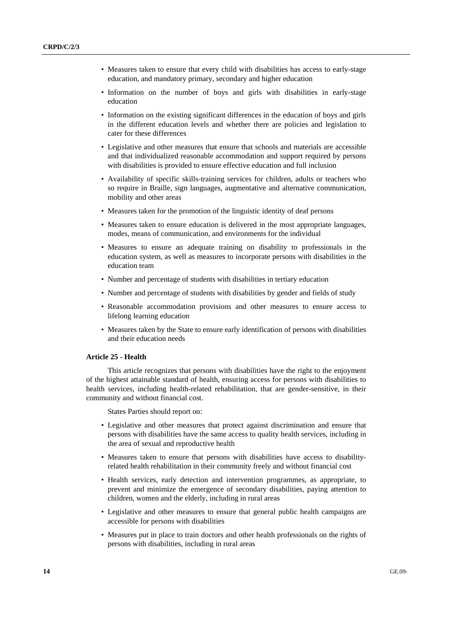- Measures taken to ensure that every child with disabilities has access to early-stage education, and mandatory primary, secondary and higher education
- Information on the number of boys and girls with disabilities in early-stage education
- Information on the existing significant differences in the education of boys and girls in the different education levels and whether there are policies and legislation to cater for these differences
- Legislative and other measures that ensure that schools and materials are accessible and that individualized reasonable accommodation and support required by persons with disabilities is provided to ensure effective education and full inclusion
- Availability of specific skills-training services for children, adults or teachers who so require in Braille, sign languages, augmentative and alternative communication, mobility and other areas
- Measures taken for the promotion of the linguistic identity of deaf persons
- Measures taken to ensure education is delivered in the most appropriate languages, modes, means of communication, and environments for the individual
- Measures to ensure an adequate training on disability to professionals in the education system, as well as measures to incorporate persons with disabilities in the education team
- Number and percentage of students with disabilities in tertiary education
- Number and percentage of students with disabilities by gender and fields of study
- Reasonable accommodation provisions and other measures to ensure access to lifelong learning education
- Measures taken by the State to ensure early identification of persons with disabilities and their education needs

## **Article 25 - Health**

This article recognizes that persons with disabilities have the right to the enjoyment of the highest attainable standard of health, ensuring access for persons with disabilities to health services, including health-related rehabilitation, that are gender-sensitive, in their community and without financial cost.

- Legislative and other measures that protect against discrimination and ensure that persons with disabilities have the same access to quality health services, including in the area of sexual and reproductive health
- Measures taken to ensure that persons with disabilities have access to disabilityrelated health rehabilitation in their community freely and without financial cost
- Health services, early detection and intervention programmes, as appropriate, to prevent and minimize the emergence of secondary disabilities, paying attention to children, women and the elderly, including in rural areas
- Legislative and other measures to ensure that general public health campaigns are accessible for persons with disabilities
- Measures put in place to train doctors and other health professionals on the rights of persons with disabilities, including in rural areas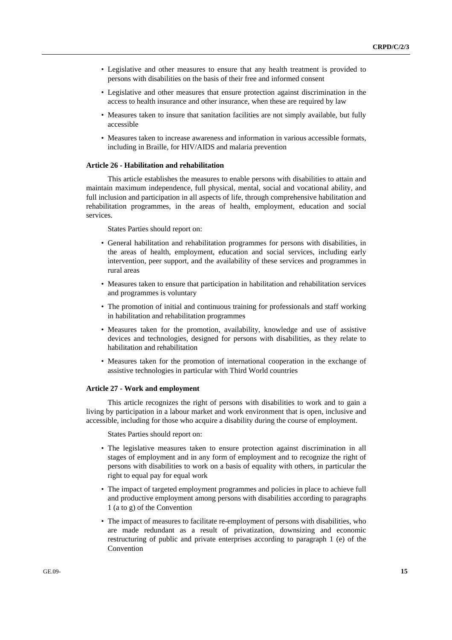- Legislative and other measures to ensure that any health treatment is provided to persons with disabilities on the basis of their free and informed consent
- Legislative and other measures that ensure protection against discrimination in the access to health insurance and other insurance, when these are required by law
- Measures taken to insure that sanitation facilities are not simply available, but fully accessible
- Measures taken to increase awareness and information in various accessible formats, including in Braille, for HIV/AIDS and malaria prevention

### **Article 26 - Habilitation and rehabilitation**

This article establishes the measures to enable persons with disabilities to attain and maintain maximum independence, full physical, mental, social and vocational ability, and full inclusion and participation in all aspects of life, through comprehensive habilitation and rehabilitation programmes, in the areas of health, employment, education and social services.

States Parties should report on:

- General habilitation and rehabilitation programmes for persons with disabilities, in the areas of health, employment, education and social services, including early intervention, peer support, and the availability of these services and programmes in rural areas
- Measures taken to ensure that participation in habilitation and rehabilitation services and programmes is voluntary
- The promotion of initial and continuous training for professionals and staff working in habilitation and rehabilitation programmes
- Measures taken for the promotion, availability, knowledge and use of assistive devices and technologies, designed for persons with disabilities, as they relate to habilitation and rehabilitation
- Measures taken for the promotion of international cooperation in the exchange of assistive technologies in particular with Third World countries

#### **Article 27 - Work and employment**

This article recognizes the right of persons with disabilities to work and to gain a living by participation in a labour market and work environment that is open, inclusive and accessible, including for those who acquire a disability during the course of employment.

- The legislative measures taken to ensure protection against discrimination in all stages of employment and in any form of employment and to recognize the right of persons with disabilities to work on a basis of equality with others, in particular the right to equal pay for equal work
- The impact of targeted employment programmes and policies in place to achieve full and productive employment among persons with disabilities according to paragraphs 1 (a to g) of the Convention
- The impact of measures to facilitate re-employment of persons with disabilities, who are made redundant as a result of privatization, downsizing and economic restructuring of public and private enterprises according to paragraph 1 (e) of the Convention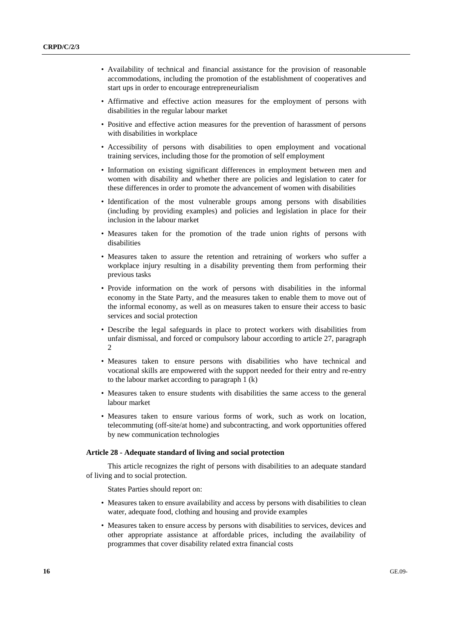- Availability of technical and financial assistance for the provision of reasonable accommodations, including the promotion of the establishment of cooperatives and start ups in order to encourage entrepreneurialism
- Affirmative and effective action measures for the employment of persons with disabilities in the regular labour market
- Positive and effective action measures for the prevention of harassment of persons with disabilities in workplace
- Accessibility of persons with disabilities to open employment and vocational training services, including those for the promotion of self employment
- Information on existing significant differences in employment between men and women with disability and whether there are policies and legislation to cater for these differences in order to promote the advancement of women with disabilities
- Identification of the most vulnerable groups among persons with disabilities (including by providing examples) and policies and legislation in place for their inclusion in the labour market
- Measures taken for the promotion of the trade union rights of persons with disabilities
- Measures taken to assure the retention and retraining of workers who suffer a workplace injury resulting in a disability preventing them from performing their previous tasks
- Provide information on the work of persons with disabilities in the informal economy in the State Party, and the measures taken to enable them to move out of the informal economy, as well as on measures taken to ensure their access to basic services and social protection
- Describe the legal safeguards in place to protect workers with disabilities from unfair dismissal, and forced or compulsory labour according to article 27, paragraph  $\mathcal{D}$
- Measures taken to ensure persons with disabilities who have technical and vocational skills are empowered with the support needed for their entry and re-entry to the labour market according to paragraph 1 (k)
- Measures taken to ensure students with disabilities the same access to the general labour market
- Measures taken to ensure various forms of work, such as work on location, telecommuting (off-site/at home) and subcontracting, and work opportunities offered by new communication technologies

# **Article 28 - Adequate standard of living and social protection**

This article recognizes the right of persons with disabilities to an adequate standard of living and to social protection.

- Measures taken to ensure availability and access by persons with disabilities to clean water, adequate food, clothing and housing and provide examples
- Measures taken to ensure access by persons with disabilities to services, devices and other appropriate assistance at affordable prices, including the availability of programmes that cover disability related extra financial costs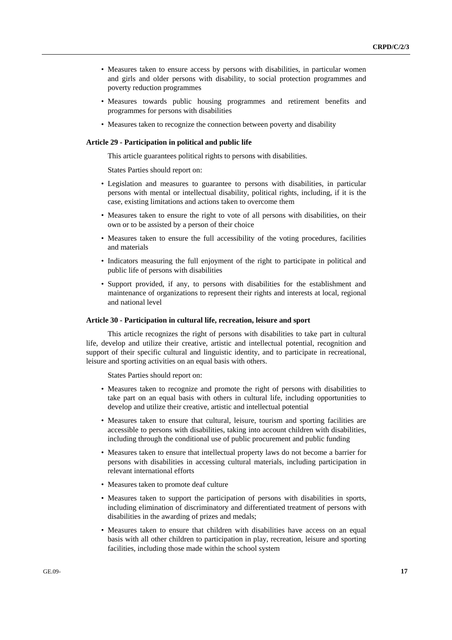- Measures taken to ensure access by persons with disabilities, in particular women and girls and older persons with disability, to social protection programmes and poverty reduction programmes
- Measures towards public housing programmes and retirement benefits and programmes for persons with disabilities
- Measures taken to recognize the connection between poverty and disability

#### **Article 29 - Participation in political and public life**

This article guarantees political rights to persons with disabilities.

States Parties should report on:

- Legislation and measures to guarantee to persons with disabilities, in particular persons with mental or intellectual disability, political rights, including, if it is the case, existing limitations and actions taken to overcome them
- Measures taken to ensure the right to vote of all persons with disabilities, on their own or to be assisted by a person of their choice
- Measures taken to ensure the full accessibility of the voting procedures, facilities and materials
- Indicators measuring the full enjoyment of the right to participate in political and public life of persons with disabilities
- Support provided, if any, to persons with disabilities for the establishment and maintenance of organizations to represent their rights and interests at local, regional and national level

### **Article 30 - Participation in cultural life, recreation, leisure and sport**

This article recognizes the right of persons with disabilities to take part in cultural life, develop and utilize their creative, artistic and intellectual potential, recognition and support of their specific cultural and linguistic identity, and to participate in recreational, leisure and sporting activities on an equal basis with others.

- Measures taken to recognize and promote the right of persons with disabilities to take part on an equal basis with others in cultural life, including opportunities to develop and utilize their creative, artistic and intellectual potential
- Measures taken to ensure that cultural, leisure, tourism and sporting facilities are accessible to persons with disabilities, taking into account children with disabilities, including through the conditional use of public procurement and public funding
- Measures taken to ensure that intellectual property laws do not become a barrier for persons with disabilities in accessing cultural materials, including participation in relevant international efforts
- Measures taken to promote deaf culture
- Measures taken to support the participation of persons with disabilities in sports, including elimination of discriminatory and differentiated treatment of persons with disabilities in the awarding of prizes and medals;
- Measures taken to ensure that children with disabilities have access on an equal basis with all other children to participation in play, recreation, leisure and sporting facilities, including those made within the school system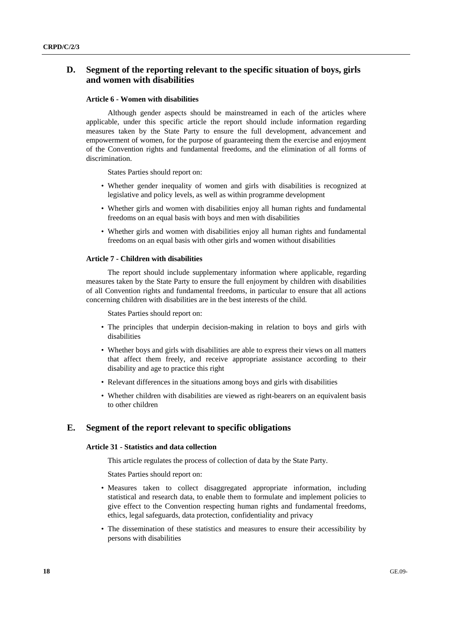# **D. Segment of the reporting relevant to the specific situation of boys, girls and women with disabilities**

#### **Article 6 - Women with disabilities**

Although gender aspects should be mainstreamed in each of the articles where applicable, under this specific article the report should include information regarding measures taken by the State Party to ensure the full development, advancement and empowerment of women, for the purpose of guaranteeing them the exercise and enjoyment of the Convention rights and fundamental freedoms, and the elimination of all forms of discrimination.

States Parties should report on:

- Whether gender inequality of women and girls with disabilities is recognized at legislative and policy levels, as well as within programme development
- Whether girls and women with disabilities enjoy all human rights and fundamental freedoms on an equal basis with boys and men with disabilities
- Whether girls and women with disabilities enjoy all human rights and fundamental freedoms on an equal basis with other girls and women without disabilities

#### **Article 7 - Children with disabilities**

The report should include supplementary information where applicable, regarding measures taken by the State Party to ensure the full enjoyment by children with disabilities of all Convention rights and fundamental freedoms, in particular to ensure that all actions concerning children with disabilities are in the best interests of the child.

States Parties should report on:

- The principles that underpin decision-making in relation to boys and girls with disabilities
- Whether boys and girls with disabilities are able to express their views on all matters that affect them freely, and receive appropriate assistance according to their disability and age to practice this right
- Relevant differences in the situations among boys and girls with disabilities
- Whether children with disabilities are viewed as right-bearers on an equivalent basis to other children

# **E. Segment of the report relevant to specific obligations**

## **Article 31 - Statistics and data collection**

This article regulates the process of collection of data by the State Party.

- Measures taken to collect disaggregated appropriate information, including statistical and research data, to enable them to formulate and implement policies to give effect to the Convention respecting human rights and fundamental freedoms, ethics, legal safeguards, data protection, confidentiality and privacy
- The dissemination of these statistics and measures to ensure their accessibility by persons with disabilities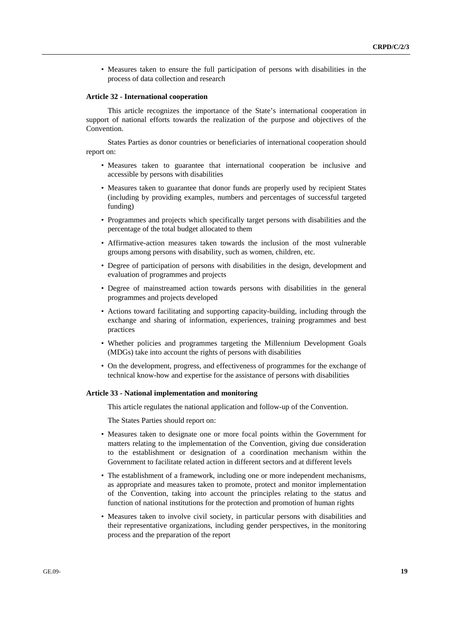• Measures taken to ensure the full participation of persons with disabilities in the process of data collection and research

#### **Article 32 - International cooperation**

This article recognizes the importance of the State's international cooperation in support of national efforts towards the realization of the purpose and objectives of the Convention.

States Parties as donor countries or beneficiaries of international cooperation should report on:

- Measures taken to guarantee that international cooperation be inclusive and accessible by persons with disabilities
- Measures taken to guarantee that donor funds are properly used by recipient States (including by providing examples, numbers and percentages of successful targeted funding)
- Programmes and projects which specifically target persons with disabilities and the percentage of the total budget allocated to them
- Affirmative-action measures taken towards the inclusion of the most vulnerable groups among persons with disability, such as women, children, etc.
- Degree of participation of persons with disabilities in the design, development and evaluation of programmes and projects
- Degree of mainstreamed action towards persons with disabilities in the general programmes and projects developed
- Actions toward facilitating and supporting capacity-building, including through the exchange and sharing of information, experiences, training programmes and best practices
- Whether policies and programmes targeting the Millennium Development Goals (MDGs) take into account the rights of persons with disabilities
- On the development, progress, and effectiveness of programmes for the exchange of technical know-how and expertise for the assistance of persons with disabilities

#### **Article 33 - National implementation and monitoring**

This article regulates the national application and follow-up of the Convention.

- Measures taken to designate one or more focal points within the Government for matters relating to the implementation of the Convention, giving due consideration to the establishment or designation of a coordination mechanism within the Government to facilitate related action in different sectors and at different levels
- The establishment of a framework, including one or more independent mechanisms, as appropriate and measures taken to promote, protect and monitor implementation of the Convention, taking into account the principles relating to the status and function of national institutions for the protection and promotion of human rights
- Measures taken to involve civil society, in particular persons with disabilities and their representative organizations, including gender perspectives, in the monitoring process and the preparation of the report